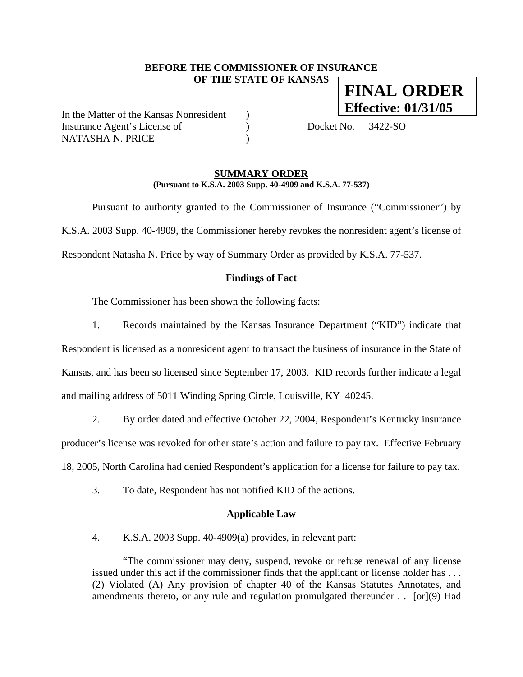# **BEFORE THE COMMISSIONER OF INSURANCE OF THE STATE OF KANSAS FINAL ORDER**

In the Matter of the Kansas Nonresident ) Insurance Agent's License of (a) Docket No. 3422-SO NATASHA N. PRICE )

**Effective: 01/31/05**

#### **SUMMARY ORDER (Pursuant to K.S.A. 2003 Supp. 40-4909 and K.S.A. 77-537)**

 Pursuant to authority granted to the Commissioner of Insurance ("Commissioner") by K.S.A. 2003 Supp. 40-4909, the Commissioner hereby revokes the nonresident agent's license of Respondent Natasha N. Price by way of Summary Order as provided by K.S.A. 77-537.

### **Findings of Fact**

The Commissioner has been shown the following facts:

1. Records maintained by the Kansas Insurance Department ("KID") indicate that Respondent is licensed as a nonresident agent to transact the business of insurance in the State of Kansas, and has been so licensed since September 17, 2003. KID records further indicate a legal and mailing address of 5011 Winding Spring Circle, Louisville, KY 40245.

2. By order dated and effective October 22, 2004, Respondent's Kentucky insurance producer's license was revoked for other state's action and failure to pay tax. Effective February 18, 2005, North Carolina had denied Respondent's application for a license for failure to pay tax.

3. To date, Respondent has not notified KID of the actions.

#### **Applicable Law**

4. K.S.A. 2003 Supp. 40-4909(a) provides, in relevant part:

"The commissioner may deny, suspend, revoke or refuse renewal of any license issued under this act if the commissioner finds that the applicant or license holder has . . . (2) Violated (A) Any provision of chapter 40 of the Kansas Statutes Annotates, and amendments thereto, or any rule and regulation promulgated thereunder . . [or](9) Had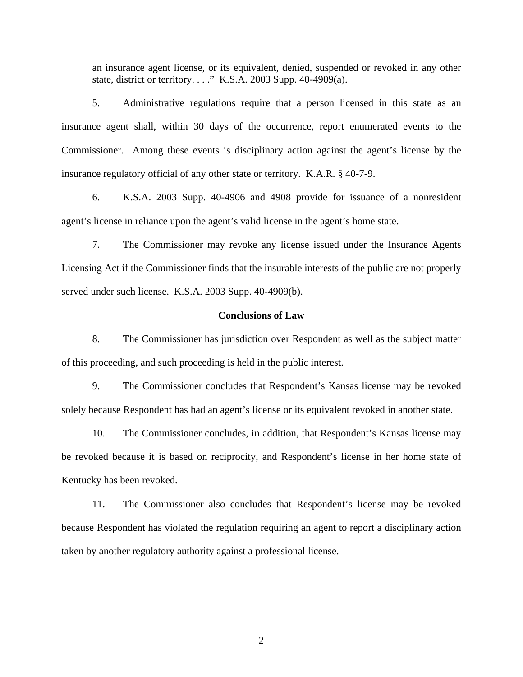an insurance agent license, or its equivalent, denied, suspended or revoked in any other state, district or territory. . . ." K.S.A. 2003 Supp. 40-4909(a).

5. Administrative regulations require that a person licensed in this state as an insurance agent shall, within 30 days of the occurrence, report enumerated events to the Commissioner. Among these events is disciplinary action against the agent's license by the insurance regulatory official of any other state or territory. K.A.R. § 40-7-9.

6. K.S.A. 2003 Supp. 40-4906 and 4908 provide for issuance of a nonresident agent's license in reliance upon the agent's valid license in the agent's home state.

7. The Commissioner may revoke any license issued under the Insurance Agents Licensing Act if the Commissioner finds that the insurable interests of the public are not properly served under such license. K.S.A. 2003 Supp. 40-4909(b).

### **Conclusions of Law**

8. The Commissioner has jurisdiction over Respondent as well as the subject matter of this proceeding, and such proceeding is held in the public interest.

9. The Commissioner concludes that Respondent's Kansas license may be revoked solely because Respondent has had an agent's license or its equivalent revoked in another state.

10. The Commissioner concludes, in addition, that Respondent's Kansas license may be revoked because it is based on reciprocity, and Respondent's license in her home state of Kentucky has been revoked.

11. The Commissioner also concludes that Respondent's license may be revoked because Respondent has violated the regulation requiring an agent to report a disciplinary action taken by another regulatory authority against a professional license.

2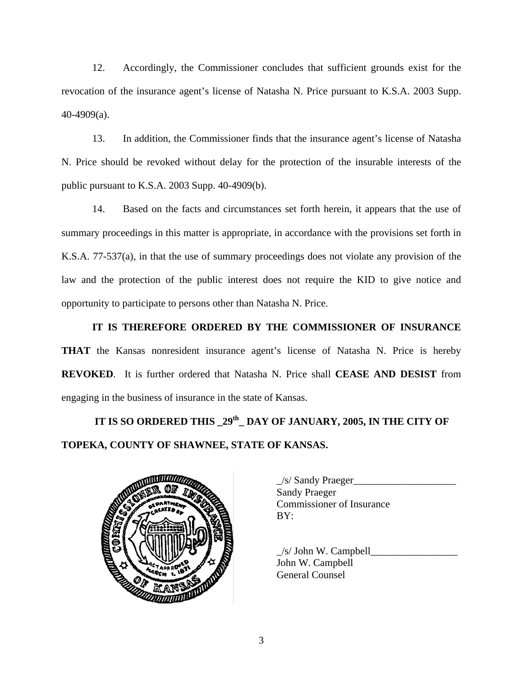12. Accordingly, the Commissioner concludes that sufficient grounds exist for the revocation of the insurance agent's license of Natasha N. Price pursuant to K.S.A. 2003 Supp. 40-4909(a).

13. In addition, the Commissioner finds that the insurance agent's license of Natasha N. Price should be revoked without delay for the protection of the insurable interests of the public pursuant to K.S.A. 2003 Supp. 40-4909(b).

14. Based on the facts and circumstances set forth herein, it appears that the use of summary proceedings in this matter is appropriate, in accordance with the provisions set forth in K.S.A. 77-537(a), in that the use of summary proceedings does not violate any provision of the law and the protection of the public interest does not require the KID to give notice and opportunity to participate to persons other than Natasha N. Price.

**IT IS THEREFORE ORDERED BY THE COMMISSIONER OF INSURANCE THAT** the Kansas nonresident insurance agent's license of Natasha N. Price is hereby **REVOKED**. It is further ordered that Natasha N. Price shall **CEASE AND DESIST** from engaging in the business of insurance in the state of Kansas.

 **IT IS SO ORDERED THIS \_29th\_ DAY OF JANUARY, 2005, IN THE CITY OF TOPEKA, COUNTY OF SHAWNEE, STATE OF KANSAS.** 



| $\angle$ s/ Sandy Praeger        |
|----------------------------------|
| <b>Sandy Praeger</b>             |
| <b>Commissioner of Insurance</b> |
| BY:                              |
|                                  |

 $/s/$  John W. Campbell John W. Campbell General Counsel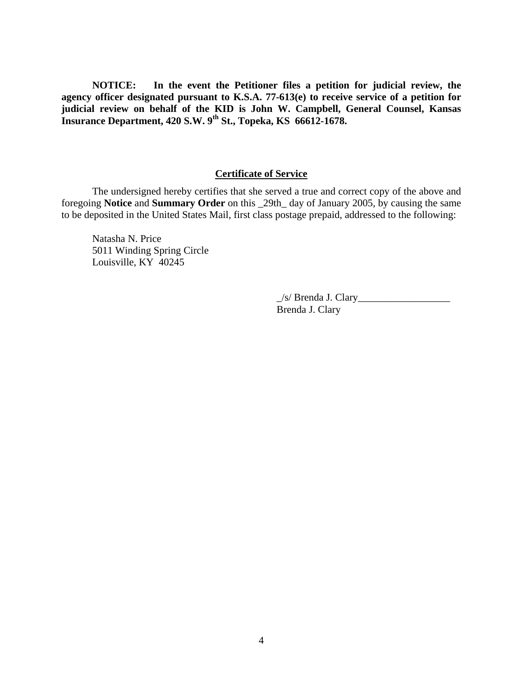**NOTICE: In the event the Petitioner files a petition for judicial review, the agency officer designated pursuant to K.S.A. 77-613(e) to receive service of a petition for judicial review on behalf of the KID is John W. Campbell, General Counsel, Kansas Insurance Department, 420 S.W. 9th St., Topeka, KS 66612-1678.** 

# **Certificate of Service**

 The undersigned hereby certifies that she served a true and correct copy of the above and foregoing **Notice** and **Summary Order** on this \_29th\_ day of January 2005, by causing the same to be deposited in the United States Mail, first class postage prepaid, addressed to the following:

 Natasha N. Price 5011 Winding Spring Circle Louisville, KY 40245

> $\angle$ s/ Brenda J. Clary $\angle$ Brenda J. Clary